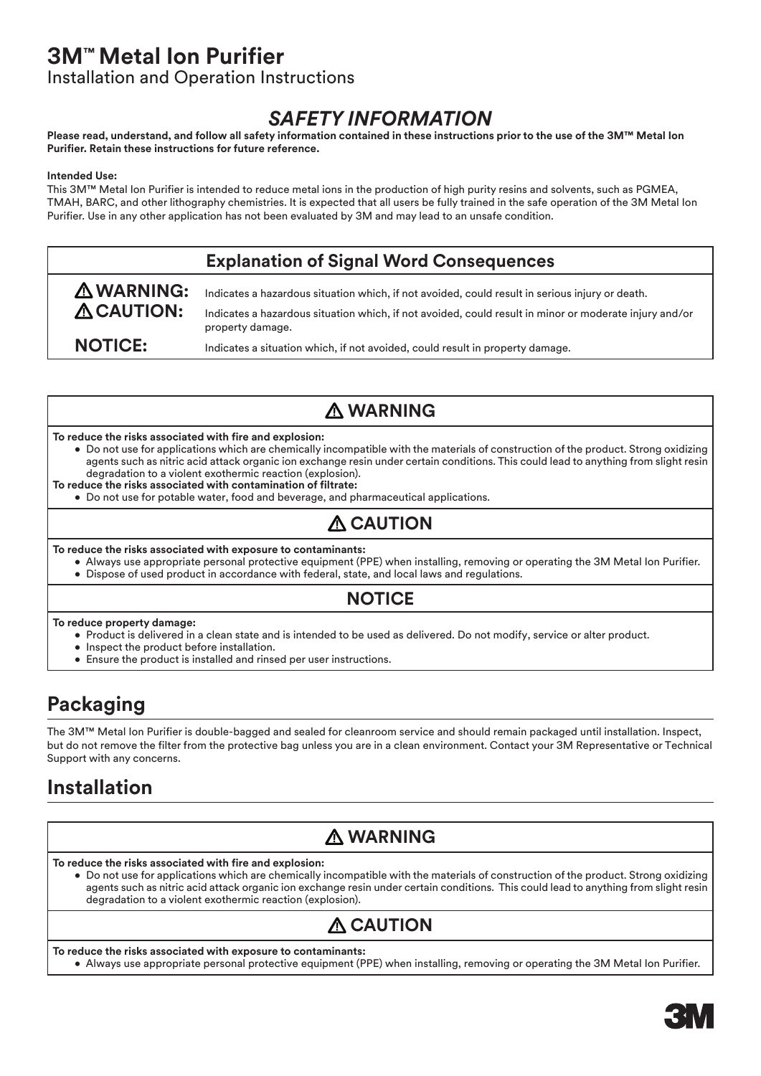# **3M™ Metal Ion Purifier**

Installation and Operation Instructions

## *SAFETY INFORMATION*

### **Please read, understand, and follow all safety information contained in these instructions prior to the use of the 3M™ Metal Ion Purifier. Retain these instructions for future reference.**

### **Intended Use:**

This 3M™ Metal Ion Purifier is intended to reduce metal ions in the production of high purity resins and solvents, such as PGMEA, TMAH, BARC, and other lithography chemistries. It is expected that all users be fully trained in the safe operation of the 3M Metal Ion Purifier. Use in any other application has not been evaluated by 3M and may lead to an unsafe condition.

### **Explanation of Signal Word Consequences**

**WARNING:** Indicates a hazardous situation which, if not avoided, could result in serious injury or death. **CAUTION:** Indicates a hazardous situation which, if not avoided, could result in minor or moderate injury and/or property damage. **NOTICE:** Indicates a situation which, if not avoided, could result in property damage.

## **WARNING**

### **To reduce the risks associated with fire and explosion:**

- Do not use for applications which are chemically incompatible with the materials of construction of the product. Strong oxidizing agents such as nitric acid attack organic ion exchange resin under certain conditions. This could lead to anything from slight resin degradation to a violent exothermic reaction (explosion).
- **To reduce the risks associated with contamination of filtrate:** 
	- Do not use for potable water, food and beverage, and pharmaceutical applications.

### **A** CAUTION

**To reduce the risks associated with exposure to contaminants:** 

- Always use appropriate personal protective equipment (PPE) when installing, removing or operating the 3M Metal Ion Purifier.
- Dispose of used product in accordance with federal, state, and local laws and regulations.

### **NOTICE**

**To reduce property damage:**

- Product is delivered in a clean state and is intended to be used as delivered. Do not modify, service or alter product.
- Inspect the product before installation.
- Ensure the product is installed and rinsed per user instructions.

## **Packaging**

The 3M™ Metal Ion Purifier is double-bagged and sealed for cleanroom service and should remain packaged until installation. Inspect, but do not remove the filter from the protective bag unless you are in a clean environment. Contact your 3M Representative or Technical Support with any concerns.

## **Installation**

## **WARNING**

**To reduce the risks associated with fire and explosion:**

• Do not use for applications which are chemically incompatible with the materials of construction of the product. Strong oxidizing agents such as nitric acid attack organic ion exchange resin under certain conditions. This could lead to anything from slight resin degradation to a violent exothermic reaction (explosion).

# **A CAUTION**

**To reduce the risks associated with exposure to contaminants:**

• Always use appropriate personal protective equipment (PPE) when installing, removing or operating the 3M Metal Ion Purifier.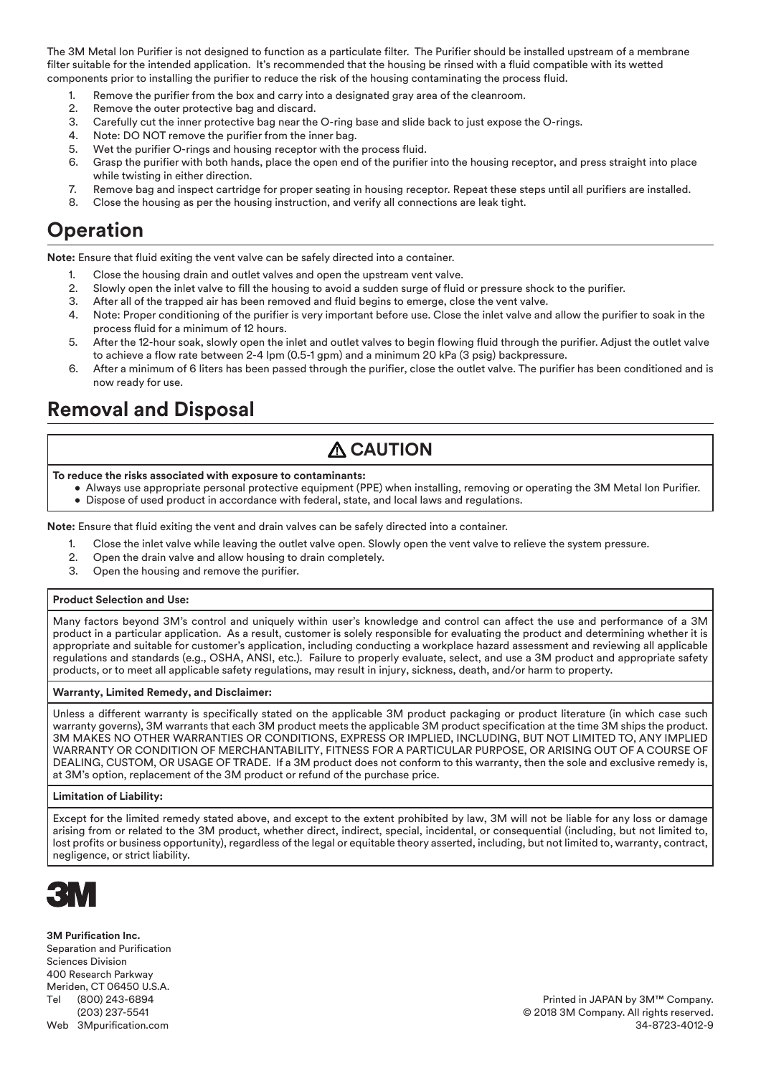The 3M Metal Ion Purifier is not designed to function as a particulate filter. The Purifier should be installed upstream of a membrane filter suitable for the intended application. It's recommended that the housing be rinsed with a fluid compatible with its wetted components prior to installing the purifier to reduce the risk of the housing contaminating the process fluid.

- 1. Remove the purifier from the box and carry into a designated gray area of the cleanroom.
- 2. Remove the outer protective bag and discard.
- 3. Carefully cut the inner protective bag near the O-ring base and slide back to just expose the O-rings.
- 4. Note: DO NOT remove the purifier from the inner bag.
- 5. Wet the purifier O-rings and housing receptor with the process fluid.
- 6. Grasp the purifier with both hands, place the open end of the purifier into the housing receptor, and press straight into place while twisting in either direction.
- 7. Remove bag and inspect cartridge for proper seating in housing receptor. Repeat these steps until all purifiers are installed.
- 8. Close the housing as per the housing instruction, and verify all connections are leak tight.

### **Operation**

**Note:** Ensure that fluid exiting the vent valve can be safely directed into a container.

- 1. Close the housing drain and outlet valves and open the upstream vent valve.
- 2. Slowly open the inlet valve to fill the housing to avoid a sudden surge of fluid or pressure shock to the purifier.
- 3. After all of the trapped air has been removed and fluid begins to emerge, close the vent valve.
- 4. Note: Proper conditioning of the purifier is very important before use. Close the inlet valve and allow the purifier to soak in the process fluid for a minimum of 12 hours.
- 5. After the 12-hour soak, slowly open the inlet and outlet valves to begin flowing fluid through the purifier. Adjust the outlet valve to achieve a flow rate between 2-4 lpm (0.5-1 gpm) and a minimum 20 kPa (3 psig) backpressure.
- 6. After a minimum of 6 liters has been passed through the purifier, close the outlet valve. The purifier has been conditioned and is now ready for use.

## **Removal and Disposal**

## **CAUTION**

**To reduce the risks associated with exposure to contaminants:** 

• Always use appropriate personal protective equipment (PPE) when installing, removing or operating the 3M Metal Ion Purifier. • Dispose of used product in accordance with federal, state, and local laws and regulations.

**Note:** Ensure that fluid exiting the vent and drain valves can be safely directed into a container.

- 1. Close the inlet valve while leaving the outlet valve open. Slowly open the vent valve to relieve the system pressure.
- 2. Open the drain valve and allow housing to drain completely.
- 3. Open the housing and remove the purifier.

#### **Product Selection and Use:**

Many factors beyond 3M's control and uniquely within user's knowledge and control can affect the use and performance of a 3M product in a particular application. As a result, customer is solely responsible for evaluating the product and determining whether it is appropriate and suitable for customer's application, including conducting a workplace hazard assessment and reviewing all applicable regulations and standards (e.g., OSHA, ANSI, etc.). Failure to properly evaluate, select, and use a 3M product and appropriate safety products, or to meet all applicable safety regulations, may result in injury, sickness, death, and/or harm to property.

#### **Warranty, Limited Remedy, and Disclaimer:**

Unless a different warranty is specifically stated on the applicable 3M product packaging or product literature (in which case such warranty governs), 3M warrants that each 3M product meets the applicable 3M product specification at the time 3M ships the product. 3M MAKES NO OTHER WARRANTIES OR CONDITIONS, EXPRESS OR IMPLIED, INCLUDING, BUT NOT LIMITED TO, ANY IMPLIED WARRANTY OR CONDITION OF MERCHANTABILITY, FITNESS FOR A PARTICULAR PURPOSE, OR ARISING OUT OF A COURSE OF DEALING, CUSTOM, OR USAGE OF TRADE. If a 3M product does not conform to this warranty, then the sole and exclusive remedy is, at 3M's option, replacement of the 3M product or refund of the purchase price.

#### **Limitation of Liability:**

Except for the limited remedy stated above, and except to the extent prohibited by law, 3M will not be liable for any loss or damage arising from or related to the 3M product, whether direct, indirect, special, incidental, or consequential (including, but not limited to, lost profits or business opportunity), regardless of the legal or equitable theory asserted, including, but not limited to, warranty, contract, negligence, or strict liability.



**3M Purification Inc.** Separation and Purification Sciences Division 400 Research Parkway Meriden, CT 06450 U.S.A. Tel (800) 243-6894 (203) 237-5541 Web 3Mpurification.com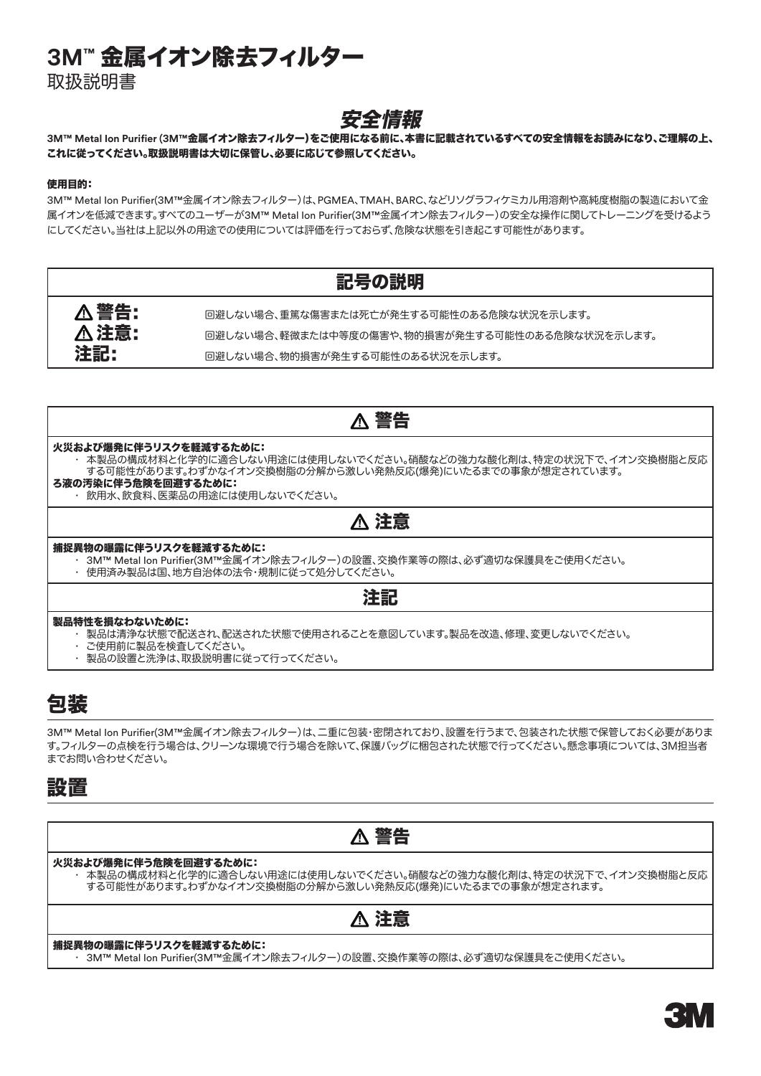# **3M™** 金属イオン除去フィルター

取扱説明書

### 安全情報

### **3M™ Metal Ion Purifier (3M™**金属イオン除去フィルター)をご使用になる前に、本書に記載されているすべての安全情報をお読みになり、ご理解の上、 これに従ってください。取扱説明書は大切に保管し、必要に応じて参照してください。

### 使用目的:

3M™ Metal Ion Purifier(3M™金属イオン除去フィルター)は、PGMEA、TMAH、BARC、などリソグラフィケミカル用溶剤や高純度樹脂の製造において金 属イオンを低減できます。すべてのユーザーが3M™ Metal Ion Purifier(3M™金属イオン除去フィルター)の安全な操作に関してトレーニングを受けるよう にしてください。当社は上記以外の用途での使用については評価を行っておらず、危険な状態を引き起こす可能性があります。



### 警告

### 火災および爆発に伴うリスクを軽減するために:

 • 本製品の構成材料と化学的に適合しない用途には使用しないでください。硝酸などの強力な酸化剤は、特定の状況下で、イオン交換樹脂と反応 する可能性があります。わずかなイオン交換樹脂の分解から激しい発熱反応(爆発)にいたるまでの事象が想定されています。

- ろ液の汚染に伴う危険を回避するために:
	- 飲用水、飲食料、医薬品の用途には使用しないでください。

### 注意

#### 捕捉異物の曝露に伴うリスクを軽減するために:

- 3M™ Metal Ion Purifier(3M™金属イオン除去フィルター)の設置、交換作業等の際は、必ず適切な保護具をご使用ください。
- 使用済み製品は国、地方自治体の法令・規制に従って処分してください。

### 注記

#### 製品特性を損なわないために:

- 製品は清浄な状態で配送され、配送された状態で使用されることを意図しています。製品を改造、修理、変更しないでください。
- ご使用前に製品を検査してください。
- 製品の設置と洗浄は、取扱説明書に従って行ってください。

## 包装

3M™ Metal Ion Purifier(3M™金属イオン除去フィルター)は、二重に包装・密閉されており、設置を行うまで、包装された状態で保管しておく必要がありま す。フィルターの点検を行う場合は、クリーンな環境で行う場合を除いて、保護バッグに梱包された状態で行ってください。懸念事項については、3M担当者 までお問い合わせください。

## 設置



### 火災および爆発に伴う危険を回避するために:

 • 本製品の構成材料と化学的に適合しない用途には使用しないでください。硝酸などの強力な酸化剤は、特定の状況下で、イオン交換樹脂と反応 する可能性があります。わずかなイオン交換樹脂の分解から激しい発熱反応(爆発)にいたるまでの事象が想定されます。



#### 捕捉異物の曝露に伴うリスクを軽減するために:

 • 3M™ Metal Ion Purifier(3M™金属イオン除去フィルター)の設置、交換作業等の際は、必ず適切な保護具をご使用ください。

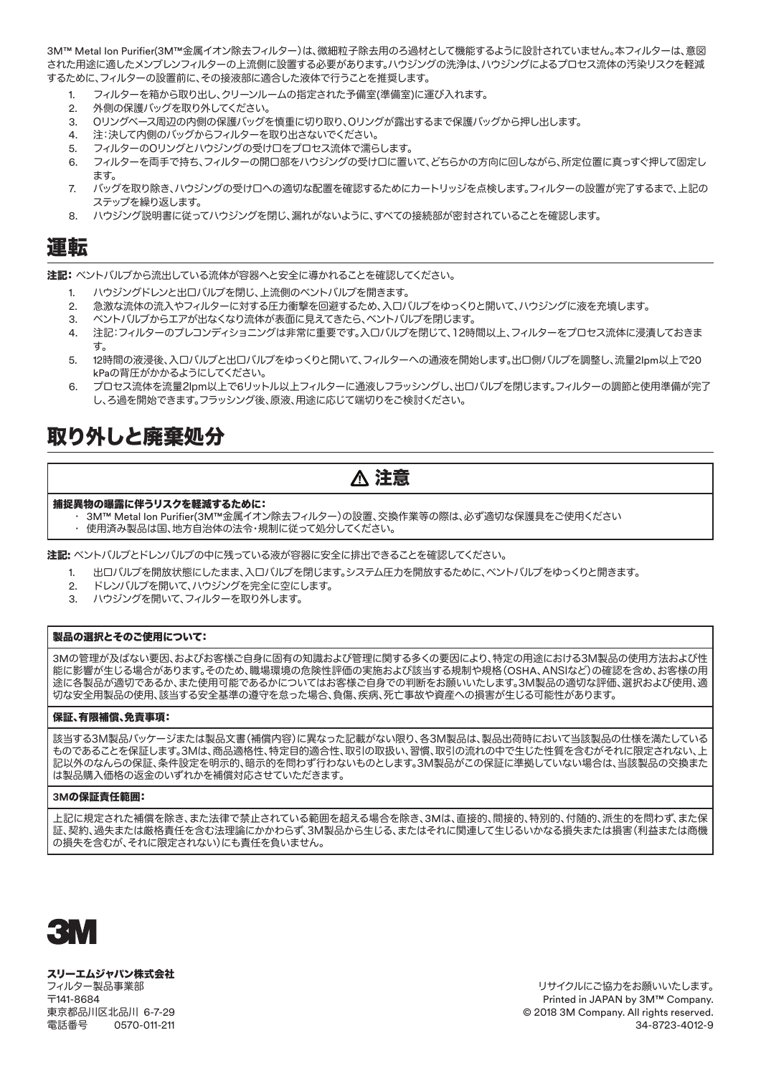3M™ Metal Ion Purifier(3M™金属イオン除去フィルター)は、微細粒子除去用のろ過材として機能するように設計されていません。本フィルターは、意図 された用途に適したメンブレンフィルターの上流側に設置する必要があります。ハウジングの洗浄は、ハウジングによるプロセス流体の汚染リスクを軽減 するために、フィルターの設置前に、その接液部に適合した液体で行うことを推奨します。

- 1. フィルターを箱から取り出し、クリーンルームの指定された予備室(準備室)に運び入れます。
- 2. 外側の保護バッグを取り外してください。
- 3. Oリングベース周辺の内側の保護バッグを慎重に切り取り、Oリングが露出するまで保護バッグから押し出します。
- 4. 注:決して内側のバッグからフィルターを取り出さないでください。
- 5. フィルターのOリングとハウジングの受け口をプロセス流体で濡らします。
- 6. フィルターを両手で持ち、フィルターの開口部をハウジングの受け口に置いて、どちらかの方向に回しながら、所定位置に真っすぐ押して固定し ます。
- 7. バッグを取り除き、ハウジングの受け口への適切な配置を確認するためにカートリッジを点検します。フィルターの設置が完了するまで、上記の ステップを繰り返します。
- 8. ハウジング説明書に従ってハウジングを閉じ、漏れがないように、すべての接続部が密封されていることを確認します。

### 運転

注記:ベントバルブから流出している流体が容器へと安全に導かれることを確認してください。

- 1. ハウジングドレンと出口バルブを閉じ、上流側のベントバルブを開きます。
- 2. 急激な流体の流入やフィルターに対する圧力衝撃を回避するため、入口バルブをゆっくりと開いて、ハウジングに液を充填します。
- 3. ベントバルブからエアが出なくなり流体が表面に見えてきたら、ベントバルブを閉じます。
- 4. 注記:フィルターのプレコンディショニングは非常に重要です。入口バルブを閉じて、12時間以上、フィルターをプロセス流体に浸漬しておきま す。
- 5. 12時間の液浸後、入口バルブと出口バルブをゆっくりと開いて、フィルターへの通液を開始します。出口側バルブを調整し、流量2lpm以上で20 kPaの背圧がかかるようにしてください。
- 6. プロセス流体を流量2lpm以上で6リットル以上フィルターに通液しフラッシングし、出口バルブを閉じます。フィルターの調節と使用準備が完了 し、ろ過を開始できます。フラッシング後、原液、用途に応じて端切りをご検討ください。

# 取り外しと廃棄処分

## 注意

#### 捕捉異物の曝露に伴うリスクを軽減するために:

- 3M™ Metal Ion Purifier(3M™金属イオン除去フィルター)の設置、交換作業等の際は、必ず適切な保護具をご使用ください
- 使用済み製品は国、地方自治体の法令・規制に従って処分してください。

注記: ベントバルブとドレンバルブの中に残っている液が容器に安全に排出できることを確認してください。

- 1. 出口バルブを開放状態にしたまま、入口バルブを閉じます。システム圧力を開放するために、ベントバルブをゆっくりと開きます。
- 2. ドレンバルブを開いて、ハウジングを完全に空にします。
- 3. ハウジングを開いて、フィルターを取り外します。

### 製品の選択とそのご使用について:

3Mの管理が及ばない要因、およびお客様ご自身に固有の知識および管理に関する多くの要因により、特定の用途における3M製品の使用方法および性 能に影響が生じる場合があります。そのため、職場環境の危険性評価の実施および該当する規制や規格(OSHA、ANSIなど)の確認を含め、お客様の用 途に各製品が適切であるか、また使用可能であるかについてはお客様ご自身での判断をお願いいたします。3M製品の適切な評価、選択および使用、適 切な安全用製品の使用、該当する安全基準の遵守を怠った場合、負傷、疾病、死亡事故や資産への損害が生じる可能性があります。

#### 保証、有限補償、免責事項:

該当する3M製品パッケージまたは製品文書(補償内容)に異なった記載がない限り、各3M製品は、製品出荷時において当該製品の仕様を満たしている ものであることを保証します。3Mは、商品適格性、特定目的適合性、取引の取扱い、習慣、取引の流れの中で生じた性質を含むがそれに限定されない、上 記以外のなんらの保証、条件設定を明示的、暗示的を問わず行わないものとします。3M製品がこの保証に準拠していない場合は、当該製品の交換また は製品購入価格の返金のいずれかを補償対応させていただきます。

#### **3M**の保証責任範囲:

上記に規定された補償を除き、また法律で禁止されている範囲を超える場合を除き、3Mは、直接的、間接的、特別的、付随的、派生的を問わず、また保 証、契約、過失または厳格責任を含む法理論にかかわらず、3M製品から生じる、またはそれに関連して生じるいかなる損失または損害(利益または商機 の損失を含むが、それに限定されない)にも責任を負いません。



#### スリーエムジャパン株式会社 フィルター製品事業部 〒141-8684 東京都品川区北品川 6-7-29 電話番号 0570-011-211

リサイクルにご協力をお願いいたします。 Printed in JAPAN by 3M™ Company. © 2018 3M Company. All rights reserved. 34-8723-4012-9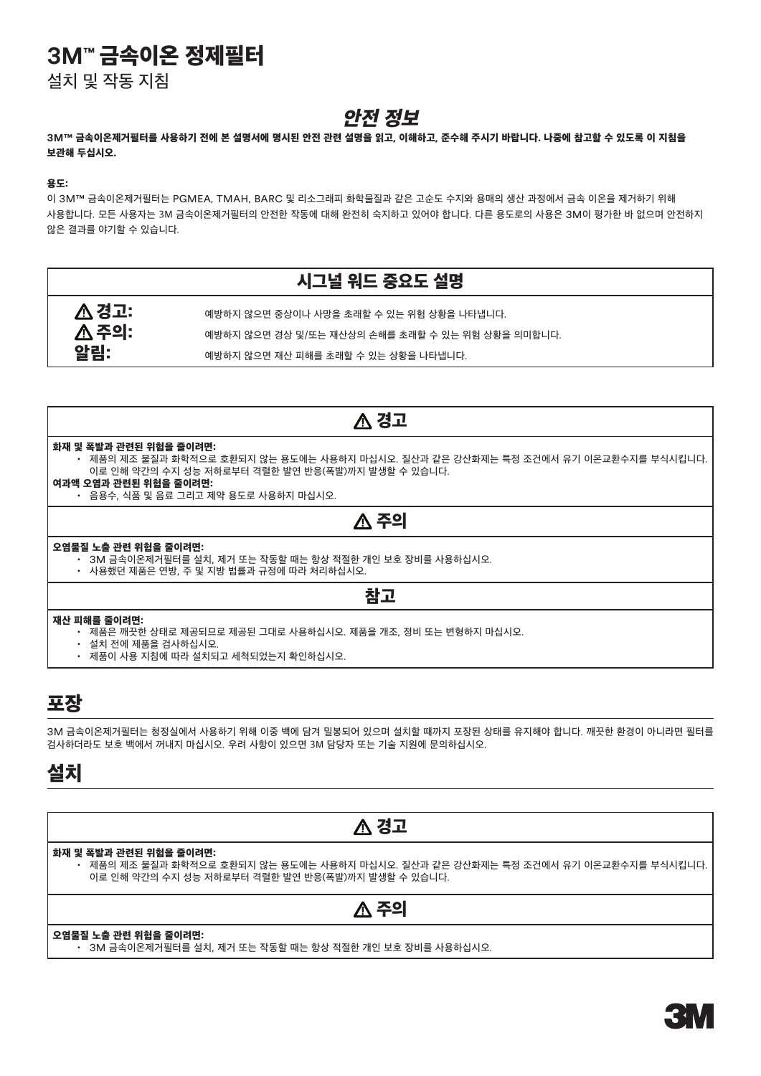# **3M™** 금속이온 정제필터

설치 및 작동 지침

## 안전 정보

### **3M™** 금속이온제거필터를 사용하기 전에 본 설명서에 명시된 안전 관련 설명을 읽고, 이해하고, 준수해 주시기 바랍니다. 나중에 참고할 수 있도록 이 지침을 보관해 두십시오.

### 용도:

이 3M™ 금속이온제거필터는 PGMEA, TMAH, BARC 및 리소그래피 화학물질과 같은 고순도 수지와 용매의 생산 과정에서 금속 이온을 제거하기 위해 사용합니다. 모든 사용자는 3M 금속이온제거필터의 안전한 작동에 대해 완전히 숙지하고 있어야 합니다. 다른 용도로의 사용은 3M이 평가한 바 없으며 안전하지 않은 결과를 야기할 수 있습니다.

|       | 시그널 워드 중요도 설명                                     |
|-------|---------------------------------------------------|
| △ 경고: | 예방하지 않으면 중상이나 사망을 초래할 수 있는 위험 상황을 나타냅니다.          |
| △ 주의: | '예방하지 않으면 경상 및/또는 재산상의 손해를 초래할 수 있는 위험 상황을 의미합니다. |
| 알림:   | 예방하지 않으면 재산 피해를 초래할 수 있는 상황을 나타냅니다.               |

### ∧ 경고

#### 화재 및 폭발과 관련된 위험을 줄이려면:

- 제품의 제조 물질과 화학적으로 호환되지 않는 용도에는 사용하지 마십시오. 질산과 같은 강산화제는 특정 조건에서 유기 이온교환수지를 부식시킵니다. 이로 인해 약간의 수지 성능 저하로부터 격렬한 발연 반응(폭발)까지 발생할 수 있습니다.
- 여과액 오염과 관련된 위험을 줄이려면:
	- 음용수, 식품 및 음료 그리고 제약 용도로 사용하지 마십시오.

### △ 주의

#### 오염물질 노출 관련 위험을 줄이려면:

- 3M 금속이온제거필터를 설치, 제거 또는 작동할 때는 항상 적절한 개인 보호 장비를 사용하십시오.
- 사용했던 제품은 연방, 주 및 지방 법률과 규정에 따라 처리하십시오.

### 참고

### 재산 피해를 줄이려면:

- 제품은 깨끗한 상태로 제공되므로 제공된 그대로 사용하십시오. 제품을 개조, 정비 또는 변형하지 마십시오.
- 설치 전에 제품을 검사하십시오.
- 제품이 사용 지침에 따라 설치되고 세척되었는지 확인하십시오.

### 포장

3M 금속이온제거필터는 청정실에서 사용하기 위해 이중 백에 담겨 밀봉되어 있으며 설치할 때까지 포장된 상태를 유지해야 합니다. 깨끗한 환경이 아니라면 필터를 검사하더라도 보호 백에서 꺼내지 마십시오. 우려 사항이 있으면 3M 담당자 또는 기술 지원에 문의하십시오.

### 설치

### △ 경고

### 화재 및 폭발과 관련된 위험을 줄이려면:

• 제품의 제조 물질과 화학적으로 호환되지 않는 용도에는 사용하지 마십시오. 질산과 같은 강산화제는 특정 조건에서 유기 이온교환수지를 부식시킵니다. 이로 인해 약간의 수지 성능 저하로부터 격렬한 발연 반응(폭발)까지 발생할 수 있습니다.

### $\Lambda$  주의

### 오염물질 노출 관련 위험을 줄이려면:

• 3M 금속이온제거필터를 설치, 제거 또는 작동할 때는 항상 적절한 개인 보호 장비를 사용하십시오.